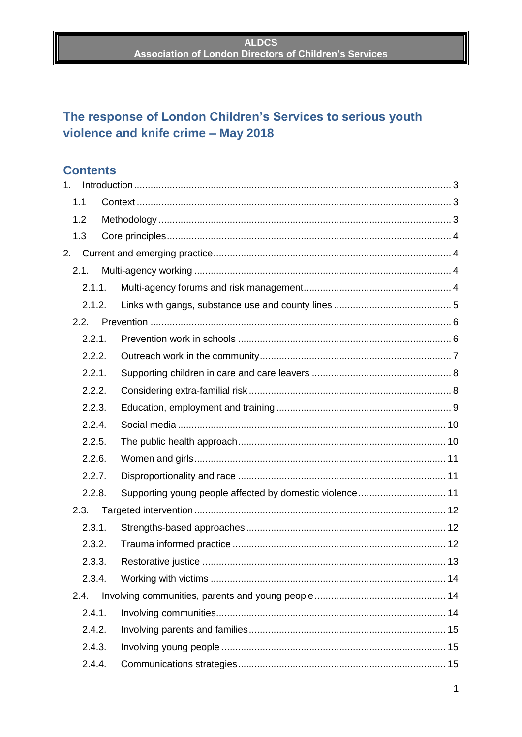# The response of London Children's Services to serious youth violence and knife crime - May 2018

# **Contents**

|        | 1.     |  |                                                          |  |
|--------|--------|--|----------------------------------------------------------|--|
|        | 1.1    |  |                                                          |  |
|        | 1.2    |  |                                                          |  |
|        | 1.3    |  |                                                          |  |
| 2.     |        |  |                                                          |  |
|        | 2.1.   |  |                                                          |  |
|        | 2.1.1. |  |                                                          |  |
|        | 2.1.2. |  |                                                          |  |
|        | 2.2.   |  |                                                          |  |
|        | 2.2.1. |  |                                                          |  |
|        | 2.2.2. |  |                                                          |  |
|        | 2.2.1. |  |                                                          |  |
|        | 2.2.2. |  |                                                          |  |
| 2.2.3. |        |  |                                                          |  |
|        | 2.2.4. |  |                                                          |  |
|        | 2.2.5. |  |                                                          |  |
| 2.2.6. |        |  |                                                          |  |
|        | 2.2.7. |  |                                                          |  |
|        | 2.2.8. |  | Supporting young people affected by domestic violence 11 |  |
|        | 2.3.   |  |                                                          |  |
|        | 2.3.1. |  |                                                          |  |
|        | 2.3.2. |  |                                                          |  |
|        | 2.3.3. |  |                                                          |  |
|        | 2.3.4. |  |                                                          |  |
|        | 2.4.   |  |                                                          |  |
|        | 2.4.1. |  |                                                          |  |
|        | 2.4.2. |  |                                                          |  |
|        | 2.4.3. |  |                                                          |  |
|        | 2.4.4. |  |                                                          |  |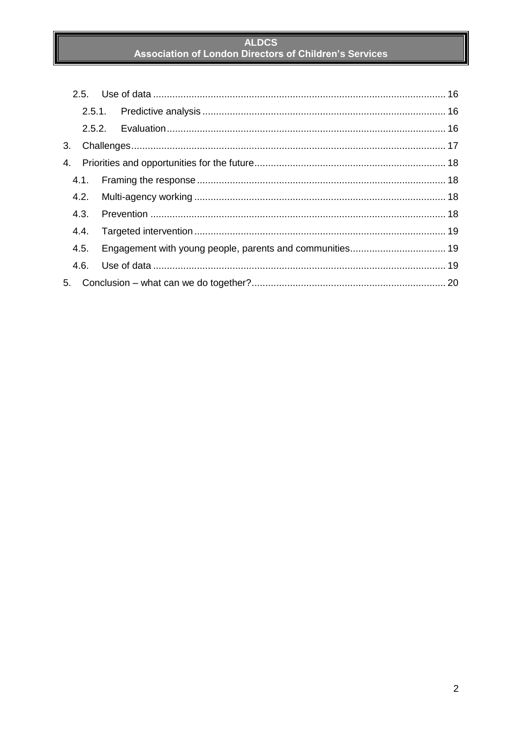| 3. |      |                                                          |  |
|----|------|----------------------------------------------------------|--|
| 4. |      |                                                          |  |
|    |      |                                                          |  |
|    |      |                                                          |  |
|    | 4.3. |                                                          |  |
|    | 4.4. |                                                          |  |
|    | 4.5. | Engagement with young people, parents and communities 19 |  |
|    | 4.6. |                                                          |  |
| 5. |      |                                                          |  |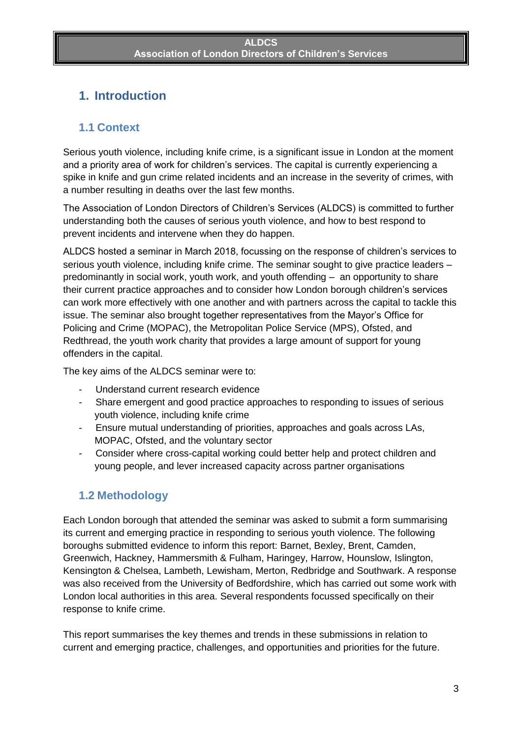# <span id="page-2-0"></span>**1. Introduction**

### <span id="page-2-1"></span>**1.1 Context**

Serious youth violence, including knife crime, is a significant issue in London at the moment and a priority area of work for children's services. The capital is currently experiencing a spike in knife and gun crime related incidents and an increase in the severity of crimes, with a number resulting in deaths over the last few months.

The Association of London Directors of Children's Services (ALDCS) is committed to further understanding both the causes of serious youth violence, and how to best respond to prevent incidents and intervene when they do happen.

ALDCS hosted a seminar in March 2018, focussing on the response of children's services to serious youth violence, including knife crime. The seminar sought to give practice leaders – predominantly in social work, youth work, and youth offending – an opportunity to share their current practice approaches and to consider how London borough children's services can work more effectively with one another and with partners across the capital to tackle this issue. The seminar also brought together representatives from the Mayor's Office for Policing and Crime (MOPAC), the Metropolitan Police Service (MPS), Ofsted, and Redthread, the youth work charity that provides a large amount of support for young offenders in the capital.

The key aims of the ALDCS seminar were to:

- Understand current research evidence
- Share emergent and good practice approaches to responding to issues of serious youth violence, including knife crime
- Ensure mutual understanding of priorities, approaches and goals across LAs, MOPAC, Ofsted, and the voluntary sector
- Consider where cross-capital working could better help and protect children and young people, and lever increased capacity across partner organisations

### <span id="page-2-2"></span>**1.2 Methodology**

Each London borough that attended the seminar was asked to submit a form summarising its current and emerging practice in responding to serious youth violence. The following boroughs submitted evidence to inform this report: Barnet, Bexley, Brent, Camden, Greenwich, Hackney, Hammersmith & Fulham, Haringey, Harrow, Hounslow, Islington, Kensington & Chelsea, Lambeth, Lewisham, Merton, Redbridge and Southwark. A response was also received from the University of Bedfordshire, which has carried out some work with London local authorities in this area. Several respondents focussed specifically on their response to knife crime.

This report summarises the key themes and trends in these submissions in relation to current and emerging practice, challenges, and opportunities and priorities for the future.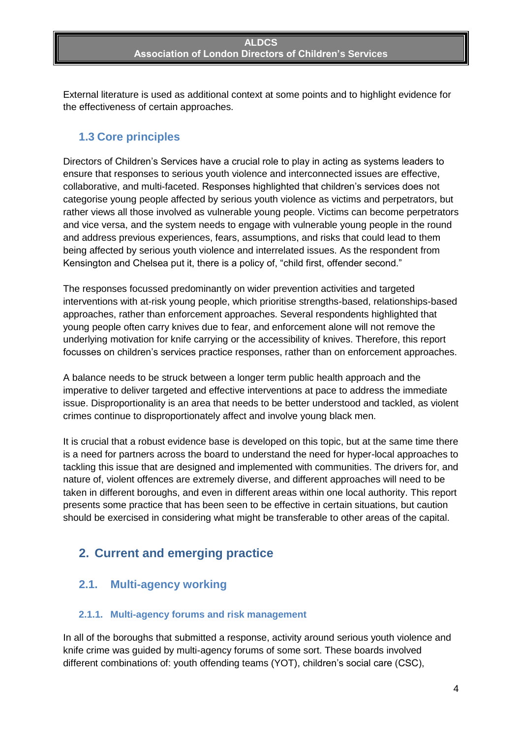External literature is used as additional context at some points and to highlight evidence for the effectiveness of certain approaches.

### <span id="page-3-0"></span>**1.3 Core principles**

Directors of Children's Services have a crucial role to play in acting as systems leaders to ensure that responses to serious youth violence and interconnected issues are effective, collaborative, and multi-faceted. Responses highlighted that children's services does not categorise young people affected by serious youth violence as victims and perpetrators, but rather views all those involved as vulnerable young people. Victims can become perpetrators and vice versa, and the system needs to engage with vulnerable young people in the round and address previous experiences, fears, assumptions, and risks that could lead to them being affected by serious youth violence and interrelated issues. As the respondent from Kensington and Chelsea put it, there is a policy of, "child first, offender second."

The responses focussed predominantly on wider prevention activities and targeted interventions with at-risk young people, which prioritise strengths-based, relationships-based approaches, rather than enforcement approaches. Several respondents highlighted that young people often carry knives due to fear, and enforcement alone will not remove the underlying motivation for knife carrying or the accessibility of knives. Therefore, this report focusses on children's services practice responses, rather than on enforcement approaches.

A balance needs to be struck between a longer term public health approach and the imperative to deliver targeted and effective interventions at pace to address the immediate issue. Disproportionality is an area that needs to be better understood and tackled, as violent crimes continue to disproportionately affect and involve young black men.

It is crucial that a robust evidence base is developed on this topic, but at the same time there is a need for partners across the board to understand the need for hyper-local approaches to tackling this issue that are designed and implemented with communities. The drivers for, and nature of, violent offences are extremely diverse, and different approaches will need to be taken in different boroughs, and even in different areas within one local authority. This report presents some practice that has been seen to be effective in certain situations, but caution should be exercised in considering what might be transferable to other areas of the capital.

# <span id="page-3-1"></span>**2. Current and emerging practice**

### <span id="page-3-2"></span>**2.1. Multi-agency working**

#### <span id="page-3-3"></span>**2.1.1. Multi-agency forums and risk management**

In all of the boroughs that submitted a response, activity around serious youth violence and knife crime was guided by multi-agency forums of some sort. These boards involved different combinations of: youth offending teams (YOT), children's social care (CSC),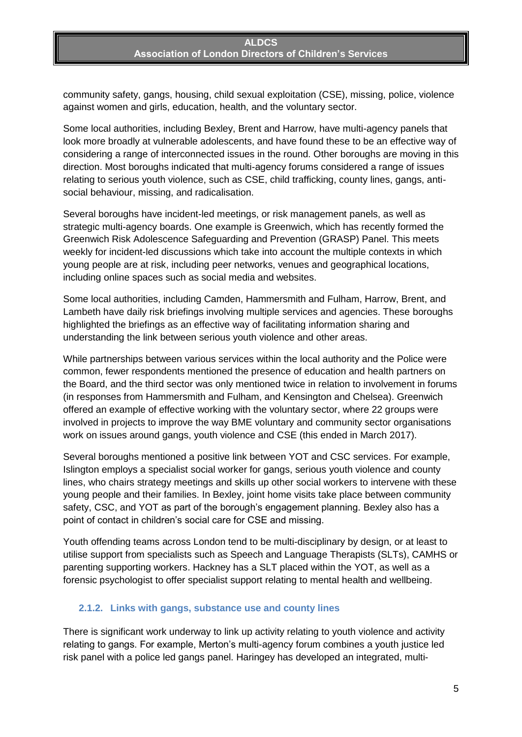community safety, gangs, housing, child sexual exploitation (CSE), missing, police, violence against women and girls, education, health, and the voluntary sector.

Some local authorities, including Bexley, Brent and Harrow, have multi-agency panels that look more broadly at vulnerable adolescents, and have found these to be an effective way of considering a range of interconnected issues in the round. Other boroughs are moving in this direction. Most boroughs indicated that multi-agency forums considered a range of issues relating to serious youth violence, such as CSE, child trafficking, county lines, gangs, antisocial behaviour, missing, and radicalisation.

Several boroughs have incident-led meetings, or risk management panels, as well as strategic multi-agency boards. One example is Greenwich, which has recently formed the Greenwich Risk Adolescence Safeguarding and Prevention (GRASP) Panel. This meets weekly for incident-led discussions which take into account the multiple contexts in which young people are at risk, including peer networks, venues and geographical locations, including online spaces such as social media and websites.

Some local authorities, including Camden, Hammersmith and Fulham, Harrow, Brent, and Lambeth have daily risk briefings involving multiple services and agencies. These boroughs highlighted the briefings as an effective way of facilitating information sharing and understanding the link between serious youth violence and other areas.

While partnerships between various services within the local authority and the Police were common, fewer respondents mentioned the presence of education and health partners on the Board, and the third sector was only mentioned twice in relation to involvement in forums (in responses from Hammersmith and Fulham, and Kensington and Chelsea). Greenwich offered an example of effective working with the voluntary sector, where 22 groups were involved in projects to improve the way BME voluntary and community sector organisations work on issues around gangs, youth violence and CSE (this ended in March 2017).

Several boroughs mentioned a positive link between YOT and CSC services. For example, Islington employs a specialist social worker for gangs, serious youth violence and county lines, who chairs strategy meetings and skills up other social workers to intervene with these young people and their families. In Bexley, joint home visits take place between community safety, CSC, and YOT as part of the borough's engagement planning. Bexley also has a point of contact in children's social care for CSE and missing.

Youth offending teams across London tend to be multi-disciplinary by design, or at least to utilise support from specialists such as Speech and Language Therapists (SLTs), CAMHS or parenting supporting workers. Hackney has a SLT placed within the YOT, as well as a forensic psychologist to offer specialist support relating to mental health and wellbeing.

#### <span id="page-4-0"></span>**2.1.2. Links with gangs, substance use and county lines**

There is significant work underway to link up activity relating to youth violence and activity relating to gangs. For example, Merton's multi-agency forum combines a youth justice led risk panel with a police led gangs panel. Haringey has developed an integrated, multi-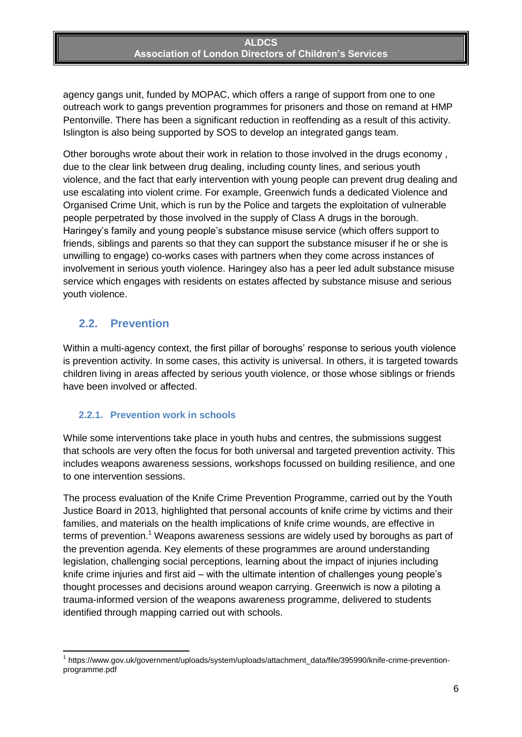agency gangs unit, funded by MOPAC, which offers a range of support from one to one outreach work to gangs prevention programmes for prisoners and those on remand at HMP Pentonville. There has been a significant reduction in reoffending as a result of this activity. Islington is also being supported by SOS to develop an integrated gangs team.

Other boroughs wrote about their work in relation to those involved in the drugs economy , due to the clear link between drug dealing, including county lines, and serious youth violence, and the fact that early intervention with young people can prevent drug dealing and use escalating into violent crime. For example, Greenwich funds a dedicated Violence and Organised Crime Unit, which is run by the Police and targets the exploitation of vulnerable people perpetrated by those involved in the supply of Class A drugs in the borough. Haringey's family and young people's substance misuse service (which offers support to friends, siblings and parents so that they can support the substance misuser if he or she is unwilling to engage) co-works cases with partners when they come across instances of involvement in serious youth violence. Haringey also has a peer led adult substance misuse service which engages with residents on estates affected by substance misuse and serious youth violence.

### <span id="page-5-0"></span>**2.2. Prevention**

**.** 

Within a multi-agency context, the first pillar of boroughs' response to serious youth violence is prevention activity. In some cases, this activity is universal. In others, it is targeted towards children living in areas affected by serious youth violence, or those whose siblings or friends have been involved or affected.

#### <span id="page-5-1"></span>**2.2.1. Prevention work in schools**

While some interventions take place in youth hubs and centres, the submissions suggest that schools are very often the focus for both universal and targeted prevention activity. This includes weapons awareness sessions, workshops focussed on building resilience, and one to one intervention sessions.

The process evaluation of the Knife Crime Prevention Programme, carried out by the Youth Justice Board in 2013, highlighted that personal accounts of knife crime by victims and their families, and materials on the health implications of knife crime wounds, are effective in terms of prevention.<sup>1</sup> Weapons awareness sessions are widely used by boroughs as part of the prevention agenda. Key elements of these programmes are around understanding legislation, challenging social perceptions, learning about the impact of injuries including knife crime injuries and first aid – with the ultimate intention of challenges young people's thought processes and decisions around weapon carrying. Greenwich is now a piloting a trauma-informed version of the weapons awareness programme, delivered to students identified through mapping carried out with schools.

<sup>&</sup>lt;sup>1</sup> https://www.gov.uk/government/uploads/system/uploads/attachment\_data/file/395990/knife-crime-preventionprogramme.pdf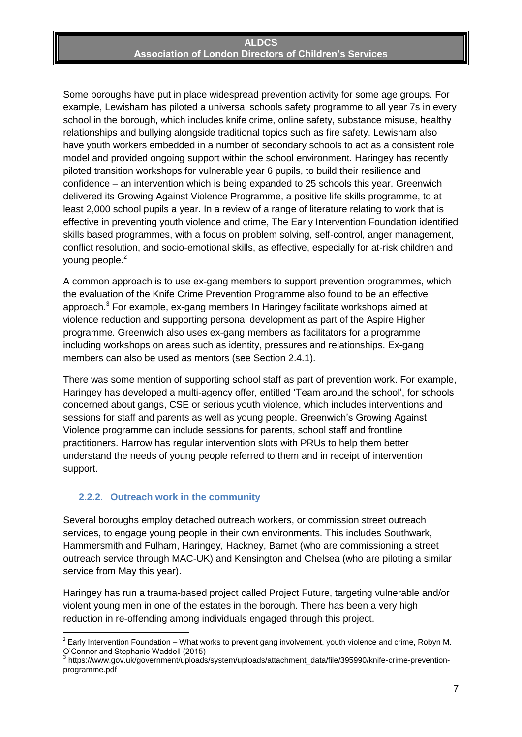Some boroughs have put in place widespread prevention activity for some age groups. For example, Lewisham has piloted a universal schools safety programme to all year 7s in every school in the borough, which includes knife crime, online safety, substance misuse, healthy relationships and bullying alongside traditional topics such as fire safety. Lewisham also have youth workers embedded in a number of secondary schools to act as a consistent role model and provided ongoing support within the school environment. Haringey has recently piloted transition workshops for vulnerable year 6 pupils, to build their resilience and confidence – an intervention which is being expanded to 25 schools this year. Greenwich delivered its Growing Against Violence Programme, a positive life skills programme, to at least 2,000 school pupils a year. In a review of a range of literature relating to work that is effective in preventing youth violence and crime, The Early Intervention Foundation identified skills based programmes, with a focus on problem solving, self-control, anger management, conflict resolution, and socio-emotional skills, as effective, especially for at-risk children and young people.<sup>2</sup>

A common approach is to use ex-gang members to support prevention programmes, which the evaluation of the Knife Crime Prevention Programme also found to be an effective approach.<sup>3</sup> For example, ex-gang members In Haringey facilitate workshops aimed at violence reduction and supporting personal development as part of the Aspire Higher programme. Greenwich also uses ex-gang members as facilitators for a programme including workshops on areas such as identity, pressures and relationships. Ex-gang members can also be used as mentors (see Section 2.4.1).

There was some mention of supporting school staff as part of prevention work. For example, Haringey has developed a multi-agency offer, entitled 'Team around the school', for schools concerned about gangs, CSE or serious youth violence, which includes interventions and sessions for staff and parents as well as young people. Greenwich's Growing Against Violence programme can include sessions for parents, school staff and frontline practitioners. Harrow has regular intervention slots with PRUs to help them better understand the needs of young people referred to them and in receipt of intervention support.

#### <span id="page-6-0"></span>**2.2.2. Outreach work in the community**

Several boroughs employ detached outreach workers, or commission street outreach services, to engage young people in their own environments. This includes Southwark, Hammersmith and Fulham, Haringey, Hackney, Barnet (who are commissioning a street outreach service through MAC-UK) and Kensington and Chelsea (who are piloting a similar service from May this year).

Haringey has run a trauma-based project called Project Future, targeting vulnerable and/or violent young men in one of the estates in the borough. There has been a very high reduction in re-offending among individuals engaged through this project.

 2 Early Intervention Foundation – What works to prevent gang involvement, youth violence and crime, Robyn M. O'Connor and Stephanie Waddell (2015)

<sup>&</sup>lt;sup>3</sup> https://www.gov.uk/government/uploads/system/uploads/attachment\_data/file/395990/knife-crime-preventionprogramme.pdf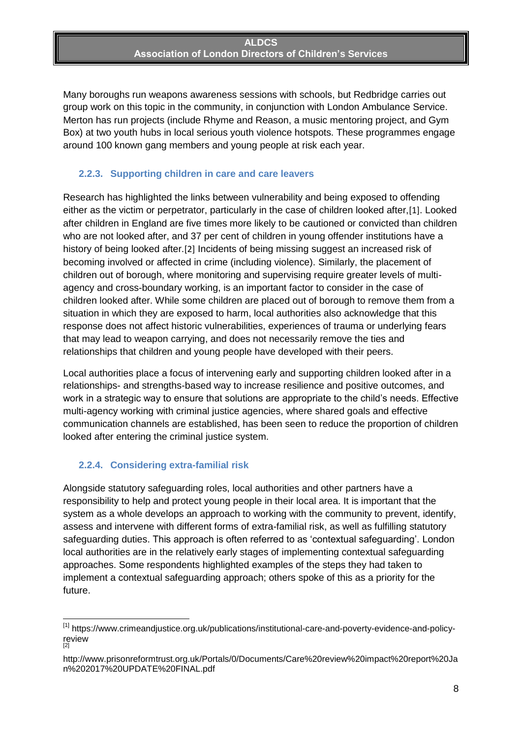Many boroughs run weapons awareness sessions with schools, but Redbridge carries out group work on this topic in the community, in conjunction with London Ambulance Service. Merton has run projects (include Rhyme and Reason, a music mentoring project, and Gym Box) at two youth hubs in local serious youth violence hotspots. These programmes engage around 100 known gang members and young people at risk each year.

#### <span id="page-7-0"></span>**2.2.3. Supporting children in care and care leavers**

Research has highlighted the links between vulnerability and being exposed to offending either as the victim or perpetrator, particularly in the case of children looked after,[1]. Looked after children in England are five times more likely to be cautioned or convicted than children who are not looked after, and 37 per cent of children in young offender institutions have a history of being looked after.[2] Incidents of being missing suggest an increased risk of becoming involved or affected in crime (including violence). Similarly, the placement of children out of borough, where monitoring and supervising require greater levels of multiagency and cross-boundary working, is an important factor to consider in the case of children looked after. While some children are placed out of borough to remove them from a situation in which they are exposed to harm, local authorities also acknowledge that this response does not affect historic vulnerabilities, experiences of trauma or underlying fears that may lead to weapon carrying, and does not necessarily remove the ties and relationships that children and young people have developed with their peers.

Local authorities place a focus of intervening early and supporting children looked after in a relationships- and strengths-based way to increase resilience and positive outcomes, and work in a strategic way to ensure that solutions are appropriate to the child's needs. Effective multi-agency working with criminal justice agencies, where shared goals and effective communication channels are established, has been seen to reduce the proportion of children looked after entering the criminal justice system.

### <span id="page-7-1"></span>**2.2.4. Considering extra-familial risk**

**.** 

Alongside statutory safeguarding roles, local authorities and other partners have a responsibility to help and protect young people in their local area. It is important that the system as a whole develops an approach to working with the community to prevent, identify, assess and intervene with different forms of extra-familial risk, as well as fulfilling statutory safeguarding duties. This approach is often referred to as 'contextual safeguarding'. London local authorities are in the relatively early stages of implementing contextual safeguarding approaches. Some respondents highlighted examples of the steps they had taken to implement a contextual safeguarding approach; others spoke of this as a priority for the future.

<sup>&</sup>lt;sup>[1]</sup> https://www.crimeandjustice.org.uk/publications/institutional-care-and-poverty-evidence-and-policyreview [2]

http://www.prisonreformtrust.org.uk/Portals/0/Documents/Care%20review%20impact%20report%20Ja n%202017%20UPDATE%20FINAL.pdf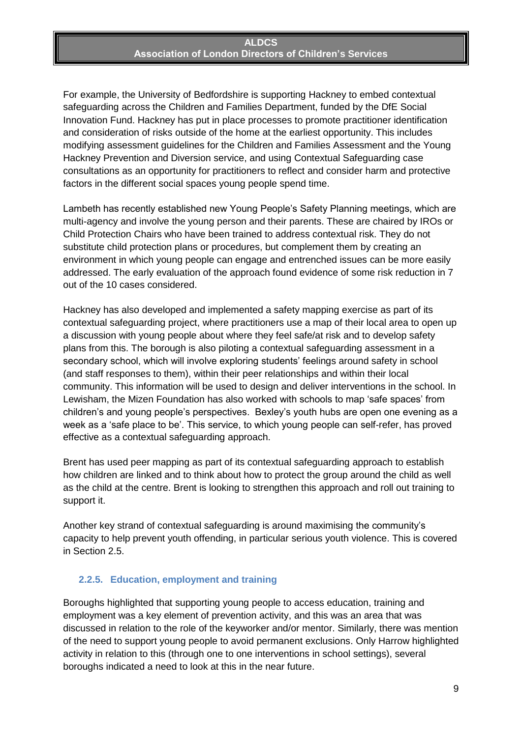For example, the University of Bedfordshire is supporting Hackney to embed contextual safeguarding across the Children and Families Department, funded by the DfE Social Innovation Fund. Hackney has put in place processes to promote practitioner identification and consideration of risks outside of the home at the earliest opportunity. This includes modifying assessment guidelines for the Children and Families Assessment and the Young Hackney Prevention and Diversion service, and using Contextual Safeguarding case consultations as an opportunity for practitioners to reflect and consider harm and protective factors in the different social spaces young people spend time.

Lambeth has recently established new Young People's Safety Planning meetings, which are multi-agency and involve the young person and their parents. These are chaired by IROs or Child Protection Chairs who have been trained to address contextual risk. They do not substitute child protection plans or procedures, but complement them by creating an environment in which young people can engage and entrenched issues can be more easily addressed. The early evaluation of the approach found evidence of some risk reduction in 7 out of the 10 cases considered.

Hackney has also developed and implemented a safety mapping exercise as part of its contextual safeguarding project, where practitioners use a map of their local area to open up a discussion with young people about where they feel safe/at risk and to develop safety plans from this. The borough is also piloting a contextual safeguarding assessment in a secondary school, which will involve exploring students' feelings around safety in school (and staff responses to them), within their peer relationships and within their local community. This information will be used to design and deliver interventions in the school. In Lewisham, the Mizen Foundation has also worked with schools to map 'safe spaces' from children's and young people's perspectives. Bexley's youth hubs are open one evening as a week as a 'safe place to be'. This service, to which young people can self-refer, has proved effective as a contextual safeguarding approach.

Brent has used peer mapping as part of its contextual safeguarding approach to establish how children are linked and to think about how to protect the group around the child as well as the child at the centre. Brent is looking to strengthen this approach and roll out training to support it.

Another key strand of contextual safeguarding is around maximising the community's capacity to help prevent youth offending, in particular serious youth violence. This is covered in Section 2.5.

#### <span id="page-8-0"></span>**2.2.5. Education, employment and training**

Boroughs highlighted that supporting young people to access education, training and employment was a key element of prevention activity, and this was an area that was discussed in relation to the role of the keyworker and/or mentor. Similarly, there was mention of the need to support young people to avoid permanent exclusions. Only Harrow highlighted activity in relation to this (through one to one interventions in school settings), several boroughs indicated a need to look at this in the near future.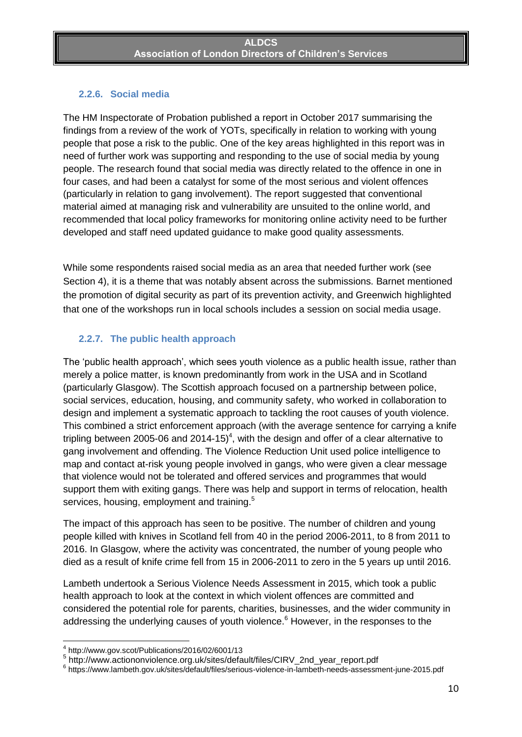### <span id="page-9-0"></span>**2.2.6. Social media**

The HM Inspectorate of Probation published a report in October 2017 summarising the findings from a review of the work of YOTs, specifically in relation to working with young people that pose a risk to the public. One of the key areas highlighted in this report was in need of further work was supporting and responding to the use of social media by young people. The research found that social media was directly related to the offence in one in four cases, and had been a catalyst for some of the most serious and violent offences (particularly in relation to gang involvement). The report suggested that conventional material aimed at managing risk and vulnerability are unsuited to the online world, and recommended that local policy frameworks for monitoring online activity need to be further developed and staff need updated guidance to make good quality assessments.

While some respondents raised social media as an area that needed further work (see Section 4), it is a theme that was notably absent across the submissions. Barnet mentioned the promotion of digital security as part of its prevention activity, and Greenwich highlighted that one of the workshops run in local schools includes a session on social media usage.

### <span id="page-9-1"></span>**2.2.7. The public health approach**

The 'public health approach', which sees youth violence as a public health issue, rather than merely a police matter, is known predominantly from work in the USA and in Scotland (particularly Glasgow). The Scottish approach focused on a partnership between police, social services, education, housing, and community safety, who worked in collaboration to design and implement a systematic approach to tackling the root causes of youth violence. This combined a strict enforcement approach (with the average sentence for carrying a knife tripling between 2005-06 and 2014-15)<sup>4</sup>, with the design and offer of a clear alternative to gang involvement and offending. The Violence Reduction Unit used police intelligence to map and contact at-risk young people involved in gangs, who were given a clear message that violence would not be tolerated and offered services and programmes that would support them with exiting gangs. There was help and support in terms of relocation, health services, housing, employment and training.<sup>5</sup>

The impact of this approach has seen to be positive. The number of children and young people killed with knives in Scotland fell from 40 in the period 2006-2011, to 8 from 2011 to 2016. In Glasgow, where the activity was concentrated, the number of young people who died as a result of knife crime fell from 15 in 2006-2011 to zero in the 5 years up until 2016.

Lambeth undertook a Serious Violence Needs Assessment in 2015, which took a public health approach to look at the context in which violent offences are committed and considered the potential role for parents, charities, businesses, and the wider community in addressing the underlying causes of youth violence.<sup>6</sup> However, in the responses to the

 4 http://www.gov.scot/Publications/2016/02/6001/13

<sup>5</sup> http://www.actiononviolence.org.uk/sites/default/files/CIRV\_2nd\_year\_report.pdf

<sup>6</sup> https://www.lambeth.gov.uk/sites/default/files/serious-violence-in-lambeth-needs-assessment-june-2015.pdf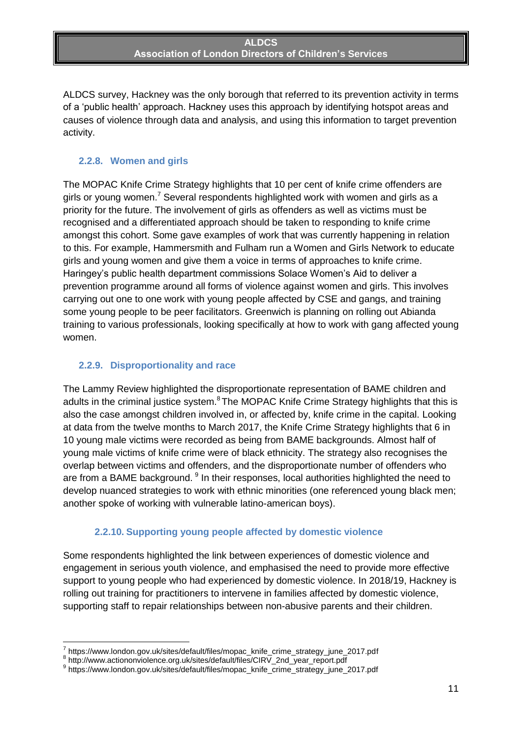ALDCS survey, Hackney was the only borough that referred to its prevention activity in terms of a 'public health' approach. Hackney uses this approach by identifying hotspot areas and causes of violence through data and analysis, and using this information to target prevention activity.

### <span id="page-10-0"></span>**2.2.8. Women and girls**

The MOPAC Knife Crime Strategy highlights that 10 per cent of knife crime offenders are girls or young women.<sup>7</sup> Several respondents highlighted work with women and girls as a priority for the future. The involvement of girls as offenders as well as victims must be recognised and a differentiated approach should be taken to responding to knife crime amongst this cohort. Some gave examples of work that was currently happening in relation to this. For example, Hammersmith and Fulham run a Women and Girls Network to educate girls and young women and give them a voice in terms of approaches to knife crime. Haringey's public health department commissions Solace Women's Aid to deliver a prevention programme around all forms of violence against women and girls. This involves carrying out one to one work with young people affected by CSE and gangs, and training some young people to be peer facilitators. Greenwich is planning on rolling out Abianda training to various professionals, looking specifically at how to work with gang affected young women.

### <span id="page-10-1"></span>**2.2.9. Disproportionality and race**

The Lammy Review highlighted the disproportionate representation of BAME children and adults in the criminal justice system.<sup>8</sup>The MOPAC Knife Crime Strategy highlights that this is also the case amongst children involved in, or affected by, knife crime in the capital. Looking at data from the twelve months to March 2017, the Knife Crime Strategy highlights that 6 in 10 young male victims were recorded as being from BAME backgrounds. Almost half of young male victims of knife crime were of black ethnicity. The strategy also recognises the overlap between victims and offenders, and the disproportionate number of offenders who are from a BAME background. <sup>9</sup> In their responses, local authorities highlighted the need to develop nuanced strategies to work with ethnic minorities (one referenced young black men; another spoke of working with vulnerable latino-american boys).

#### **2.2.10. Supporting young people affected by domestic violence**

<span id="page-10-2"></span>Some respondents highlighted the link between experiences of domestic violence and engagement in serious youth violence, and emphasised the need to provide more effective support to young people who had experienced by domestic violence. In 2018/19, Hackney is rolling out training for practitioners to intervene in families affected by domestic violence, supporting staff to repair relationships between non-abusive parents and their children.

 $\overline{a}$ 

<sup>7</sup> https://www.london.gov.uk/sites/default/files/mopac\_knife\_crime\_strategy\_june\_2017.pdf

<sup>&</sup>lt;sup>8</sup> http://www.actiononviolence.org.uk/sites/default/files/CIRV\_2nd\_year\_report.pdf

<sup>9&</sup>lt;br>https://www.london.gov.uk/sites/default/files/mopac\_knife\_crime\_strategy\_june\_2017.pdf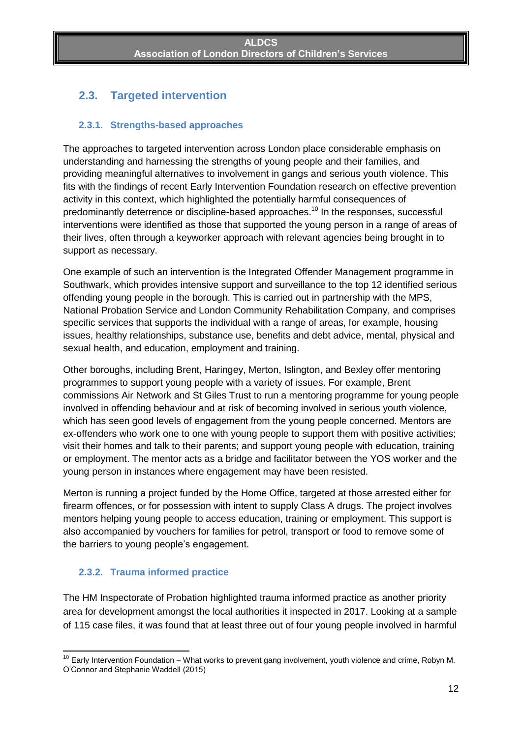# <span id="page-11-0"></span>**2.3. Targeted intervention**

#### <span id="page-11-1"></span>**2.3.1. Strengths-based approaches**

The approaches to targeted intervention across London place considerable emphasis on understanding and harnessing the strengths of young people and their families, and providing meaningful alternatives to involvement in gangs and serious youth violence. This fits with the findings of recent Early Intervention Foundation research on effective prevention activity in this context, which highlighted the potentially harmful consequences of predominantly deterrence or discipline-based approaches.<sup>10</sup> In the responses, successful interventions were identified as those that supported the young person in a range of areas of their lives, often through a keyworker approach with relevant agencies being brought in to support as necessary.

One example of such an intervention is the Integrated Offender Management programme in Southwark, which provides intensive support and surveillance to the top 12 identified serious offending young people in the borough. This is carried out in partnership with the MPS, National Probation Service and London Community Rehabilitation Company, and comprises specific services that supports the individual with a range of areas, for example, housing issues, healthy relationships, substance use, benefits and debt advice, mental, physical and sexual health, and education, employment and training.

Other boroughs, including Brent, Haringey, Merton, Islington, and Bexley offer mentoring programmes to support young people with a variety of issues. For example, Brent commissions Air Network and St Giles Trust to run a mentoring programme for young people involved in offending behaviour and at risk of becoming involved in serious youth violence, which has seen good levels of engagement from the young people concerned. Mentors are ex-offenders who work one to one with young people to support them with positive activities; visit their homes and talk to their parents; and support young people with education, training or employment. The mentor acts as a bridge and facilitator between the YOS worker and the young person in instances where engagement may have been resisted.

Merton is running a project funded by the Home Office, targeted at those arrested either for firearm offences, or for possession with intent to supply Class A drugs. The project involves mentors helping young people to access education, training or employment. This support is also accompanied by vouchers for families for petrol, transport or food to remove some of the barriers to young people's engagement.

#### <span id="page-11-2"></span>**2.3.2. Trauma informed practice**

The HM Inspectorate of Probation highlighted trauma informed practice as another priority area for development amongst the local authorities it inspected in 2017. Looking at a sample of 115 case files, it was found that at least three out of four young people involved in harmful

**<sup>.</sup>** <sup>10</sup> Early Intervention Foundation – What works to prevent gang involvement, youth violence and crime, Robyn M. O'Connor and Stephanie Waddell (2015)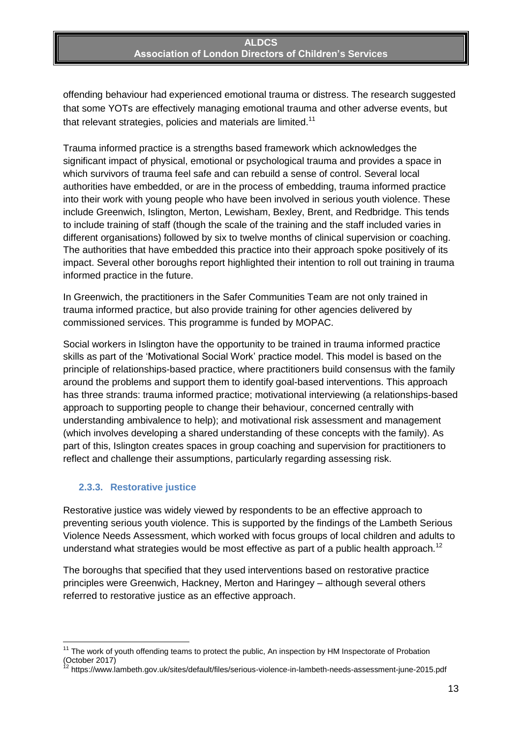offending behaviour had experienced emotional trauma or distress. The research suggested that some YOTs are effectively managing emotional trauma and other adverse events, but that relevant strategies, policies and materials are limited.<sup>11</sup>

Trauma informed practice is a strengths based framework which acknowledges the significant impact of physical, emotional or psychological trauma and provides a space in which survivors of trauma feel safe and can rebuild a sense of control. Several local authorities have embedded, or are in the process of embedding, trauma informed practice into their work with young people who have been involved in serious youth violence. These include Greenwich, Islington, Merton, Lewisham, Bexley, Brent, and Redbridge. This tends to include training of staff (though the scale of the training and the staff included varies in different organisations) followed by six to twelve months of clinical supervision or coaching. The authorities that have embedded this practice into their approach spoke positively of its impact. Several other boroughs report highlighted their intention to roll out training in trauma informed practice in the future.

In Greenwich, the practitioners in the Safer Communities Team are not only trained in trauma informed practice, but also provide training for other agencies delivered by commissioned services. This programme is funded by MOPAC.

Social workers in Islington have the opportunity to be trained in trauma informed practice skills as part of the 'Motivational Social Work' practice model. This model is based on the principle of relationships-based practice, where practitioners build consensus with the family around the problems and support them to identify goal-based interventions. This approach has three strands: trauma informed practice; motivational interviewing (a relationships-based approach to supporting people to change their behaviour, concerned centrally with understanding ambivalence to help); and motivational risk assessment and management (which involves developing a shared understanding of these concepts with the family). As part of this, Islington creates spaces in group coaching and supervision for practitioners to reflect and challenge their assumptions, particularly regarding assessing risk.

### <span id="page-12-0"></span>**2.3.3. Restorative justice**

 $\overline{a}$ 

Restorative justice was widely viewed by respondents to be an effective approach to preventing serious youth violence. This is supported by the findings of the Lambeth Serious Violence Needs Assessment, which worked with focus groups of local children and adults to understand what strategies would be most effective as part of a public health approach.<sup>12</sup>

The boroughs that specified that they used interventions based on restorative practice principles were Greenwich, Hackney, Merton and Haringey – although several others referred to restorative justice as an effective approach.

<sup>&</sup>lt;sup>11</sup> The work of youth offending teams to protect the public, An inspection by HM Inspectorate of Probation (October 2017)

<sup>12</sup> https://www.lambeth.gov.uk/sites/default/files/serious-violence-in-lambeth-needs-assessment-june-2015.pdf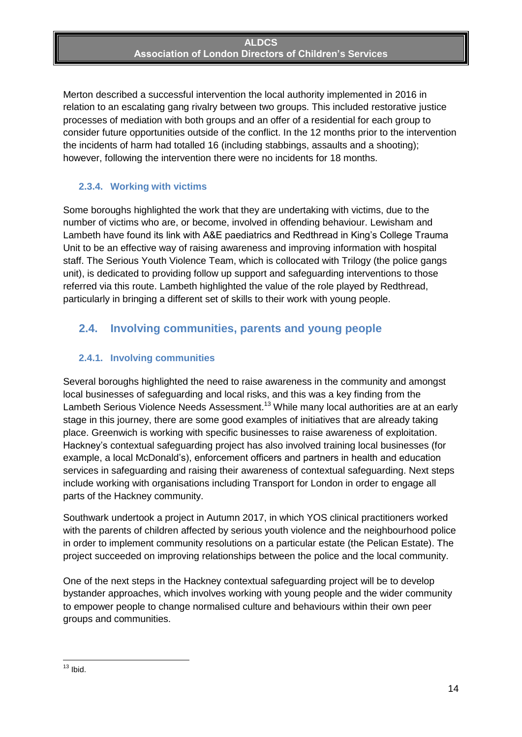Merton described a successful intervention the local authority implemented in 2016 in relation to an escalating gang rivalry between two groups. This included restorative justice processes of mediation with both groups and an offer of a residential for each group to consider future opportunities outside of the conflict. In the 12 months prior to the intervention the incidents of harm had totalled 16 (including stabbings, assaults and a shooting); however, following the intervention there were no incidents for 18 months.

### <span id="page-13-0"></span>**2.3.4. Working with victims**

Some boroughs highlighted the work that they are undertaking with victims, due to the number of victims who are, or become, involved in offending behaviour. Lewisham and Lambeth have found its link with A&E paediatrics and Redthread in King's College Trauma Unit to be an effective way of raising awareness and improving information with hospital staff. The Serious Youth Violence Team, which is collocated with Trilogy (the police gangs unit), is dedicated to providing follow up support and safeguarding interventions to those referred via this route. Lambeth highlighted the value of the role played by Redthread, particularly in bringing a different set of skills to their work with young people.

### <span id="page-13-1"></span>**2.4. Involving communities, parents and young people**

### <span id="page-13-2"></span>**2.4.1. Involving communities**

Several boroughs highlighted the need to raise awareness in the community and amongst local businesses of safeguarding and local risks, and this was a key finding from the Lambeth Serious Violence Needs Assessment.<sup>13</sup> While many local authorities are at an early stage in this journey, there are some good examples of initiatives that are already taking place. Greenwich is working with specific businesses to raise awareness of exploitation. Hackney's contextual safeguarding project has also involved training local businesses (for example, a local McDonald's), enforcement officers and partners in health and education services in safeguarding and raising their awareness of contextual safeguarding. Next steps include working with organisations including Transport for London in order to engage all parts of the Hackney community.

Southwark undertook a project in Autumn 2017, in which YOS clinical practitioners worked with the parents of children affected by serious youth violence and the neighbourhood police in order to implement community resolutions on a particular estate (the Pelican Estate). The project succeeded on improving relationships between the police and the local community.

One of the next steps in the Hackney contextual safeguarding project will be to develop bystander approaches, which involves working with young people and the wider community to empower people to change normalised culture and behaviours within their own peer groups and communities.

**<sup>.</sup>**  $13$  lbid.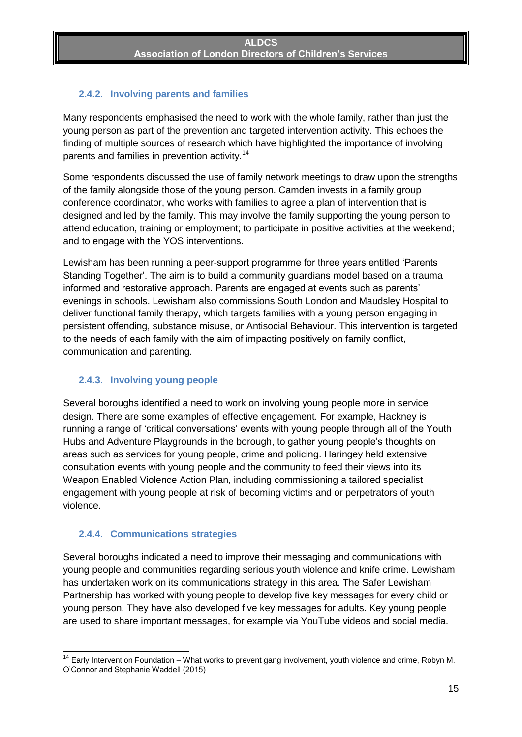### <span id="page-14-0"></span>**2.4.2. Involving parents and families**

Many respondents emphasised the need to work with the whole family, rather than just the young person as part of the prevention and targeted intervention activity. This echoes the finding of multiple sources of research which have highlighted the importance of involving parents and families in prevention activity.<sup>14</sup>

Some respondents discussed the use of family network meetings to draw upon the strengths of the family alongside those of the young person. Camden invests in a family group conference coordinator, who works with families to agree a plan of intervention that is designed and led by the family. This may involve the family supporting the young person to attend education, training or employment; to participate in positive activities at the weekend; and to engage with the YOS interventions.

Lewisham has been running a peer-support programme for three years entitled 'Parents Standing Together'. The aim is to build a community guardians model based on a trauma informed and restorative approach. Parents are engaged at events such as parents' evenings in schools. Lewisham also commissions South London and Maudsley Hospital to deliver functional family therapy, which targets families with a young person engaging in persistent offending, substance misuse, or Antisocial Behaviour. This intervention is targeted to the needs of each family with the aim of impacting positively on family conflict, communication and parenting.

#### <span id="page-14-1"></span>**2.4.3. Involving young people**

Several boroughs identified a need to work on involving young people more in service design. There are some examples of effective engagement. For example, Hackney is running a range of 'critical conversations' events with young people through all of the Youth Hubs and Adventure Playgrounds in the borough, to gather young people's thoughts on areas such as services for young people, crime and policing. Haringey held extensive consultation events with young people and the community to feed their views into its Weapon Enabled Violence Action Plan, including commissioning a tailored specialist engagement with young people at risk of becoming victims and or perpetrators of youth violence.

#### <span id="page-14-2"></span>**2.4.4. Communications strategies**

Several boroughs indicated a need to improve their messaging and communications with young people and communities regarding serious youth violence and knife crime. Lewisham has undertaken work on its communications strategy in this area. The Safer Lewisham Partnership has worked with young people to develop five key messages for every child or young person. They have also developed five key messages for adults. Key young people are used to share important messages, for example via YouTube videos and social media.

**<sup>.</sup>** <sup>14</sup> Early Intervention Foundation – What works to prevent gang involvement, youth violence and crime, Robyn M. O'Connor and Stephanie Waddell (2015)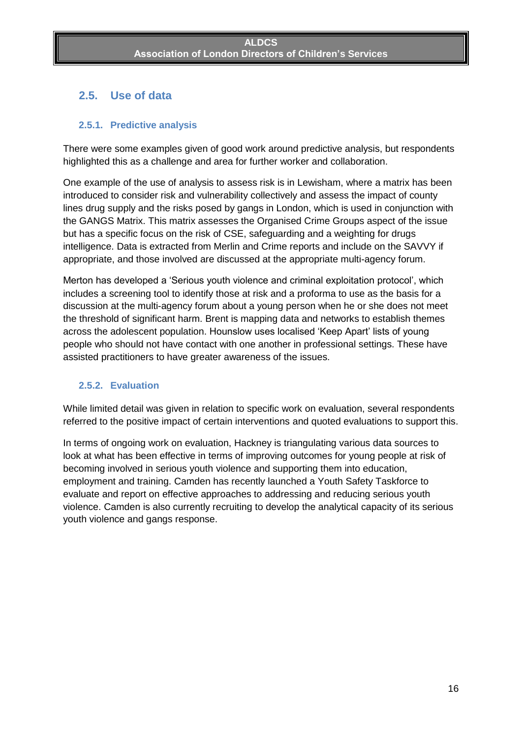### <span id="page-15-0"></span>**2.5. Use of data**

### <span id="page-15-1"></span>**2.5.1. Predictive analysis**

There were some examples given of good work around predictive analysis, but respondents highlighted this as a challenge and area for further worker and collaboration.

One example of the use of analysis to assess risk is in Lewisham, where a matrix has been introduced to consider risk and vulnerability collectively and assess the impact of county lines drug supply and the risks posed by gangs in London, which is used in conjunction with the GANGS Matrix. This matrix assesses the Organised Crime Groups aspect of the issue but has a specific focus on the risk of CSE, safeguarding and a weighting for drugs intelligence. Data is extracted from Merlin and Crime reports and include on the SAVVY if appropriate, and those involved are discussed at the appropriate multi-agency forum.

Merton has developed a 'Serious youth violence and criminal exploitation protocol', which includes a screening tool to identify those at risk and a proforma to use as the basis for a discussion at the multi-agency forum about a young person when he or she does not meet the threshold of significant harm. Brent is mapping data and networks to establish themes across the adolescent population. Hounslow uses localised 'Keep Apart' lists of young people who should not have contact with one another in professional settings. These have assisted practitioners to have greater awareness of the issues.

#### <span id="page-15-2"></span>**2.5.2. Evaluation**

While limited detail was given in relation to specific work on evaluation, several respondents referred to the positive impact of certain interventions and quoted evaluations to support this.

In terms of ongoing work on evaluation, Hackney is triangulating various data sources to look at what has been effective in terms of improving outcomes for young people at risk of becoming involved in serious youth violence and supporting them into education, employment and training. Camden has recently launched a Youth Safety Taskforce to evaluate and report on effective approaches to addressing and reducing serious youth violence. Camden is also currently recruiting to develop the analytical capacity of its serious youth violence and gangs response.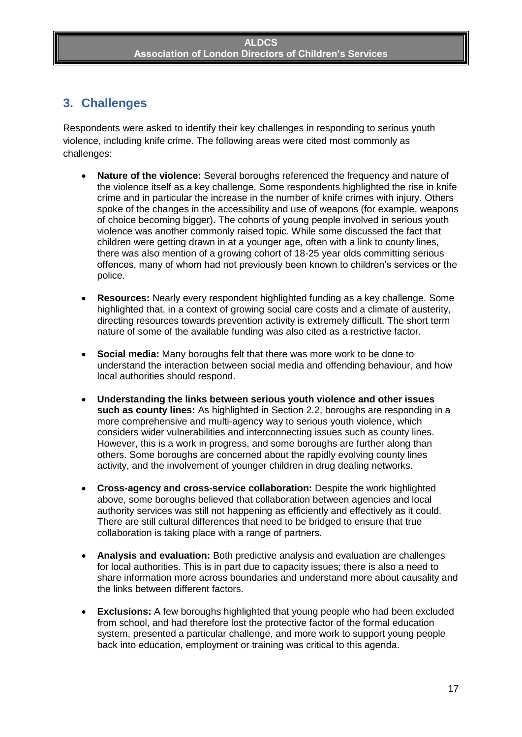# <span id="page-16-0"></span>**3. Challenges**

Respondents were asked to identify their key challenges in responding to serious youth violence, including knife crime. The following areas were cited most commonly as challenges:

- **Nature of the violence:** Several boroughs referenced the frequency and nature of the violence itself as a key challenge. Some respondents highlighted the rise in knife crime and in particular the increase in the number of knife crimes with injury. Others spoke of the changes in the accessibility and use of weapons (for example, weapons of choice becoming bigger). The cohorts of young people involved in serious youth violence was another commonly raised topic. While some discussed the fact that children were getting drawn in at a younger age, often with a link to county lines, there was also mention of a growing cohort of 18-25 year olds committing serious offences, many of whom had not previously been known to children's services or the police.
- **Resources:** Nearly every respondent highlighted funding as a key challenge. Some highlighted that, in a context of growing social care costs and a climate of austerity, directing resources towards prevention activity is extremely difficult. The short term nature of some of the available funding was also cited as a restrictive factor.
- **Social media:** Many boroughs felt that there was more work to be done to understand the interaction between social media and offending behaviour, and how local authorities should respond.
- **Understanding the links between serious youth violence and other issues such as county lines:** As highlighted in Section 2.2, boroughs are responding in a more comprehensive and multi-agency way to serious youth violence, which considers wider vulnerabilities and interconnecting issues such as county lines. However, this is a work in progress, and some boroughs are further along than others. Some boroughs are concerned about the rapidly evolving county lines activity, and the involvement of younger children in drug dealing networks.
- **Cross-agency and cross-service collaboration:** Despite the work highlighted above, some boroughs believed that collaboration between agencies and local authority services was still not happening as efficiently and effectively as it could. There are still cultural differences that need to be bridged to ensure that true collaboration is taking place with a range of partners.
- **Analysis and evaluation:** Both predictive analysis and evaluation are challenges for local authorities. This is in part due to capacity issues; there is also a need to share information more across boundaries and understand more about causality and the links between different factors.
- **Exclusions:** A few boroughs highlighted that young people who had been excluded from school, and had therefore lost the protective factor of the formal education system, presented a particular challenge, and more work to support young people back into education, employment or training was critical to this agenda.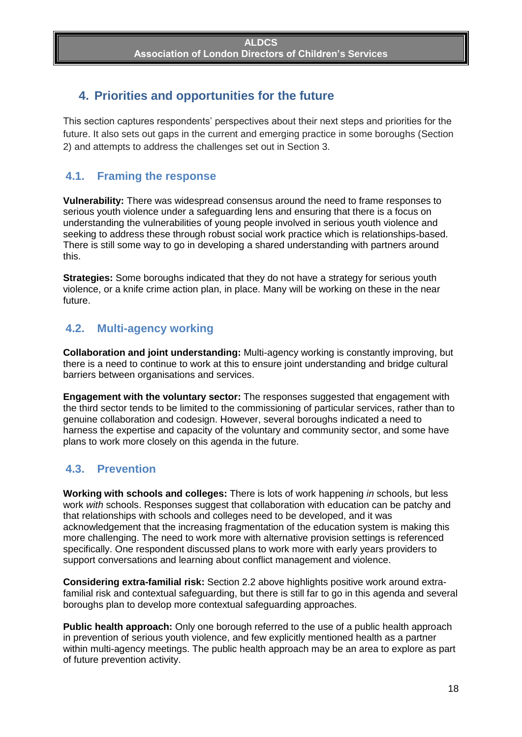# <span id="page-17-0"></span>**4. Priorities and opportunities for the future**

This section captures respondents' perspectives about their next steps and priorities for the future. It also sets out gaps in the current and emerging practice in some boroughs (Section 2) and attempts to address the challenges set out in Section 3.

### <span id="page-17-1"></span>**4.1. Framing the response**

**Vulnerability:** There was widespread consensus around the need to frame responses to serious youth violence under a safeguarding lens and ensuring that there is a focus on understanding the vulnerabilities of young people involved in serious youth violence and seeking to address these through robust social work practice which is relationships-based. There is still some way to go in developing a shared understanding with partners around this.

**Strategies:** Some boroughs indicated that they do not have a strategy for serious youth violence, or a knife crime action plan, in place. Many will be working on these in the near future.

### <span id="page-17-2"></span>**4.2. Multi-agency working**

**Collaboration and joint understanding:** Multi-agency working is constantly improving, but there is a need to continue to work at this to ensure joint understanding and bridge cultural barriers between organisations and services.

**Engagement with the voluntary sector:** The responses suggested that engagement with the third sector tends to be limited to the commissioning of particular services, rather than to genuine collaboration and codesign. However, several boroughs indicated a need to harness the expertise and capacity of the voluntary and community sector, and some have plans to work more closely on this agenda in the future.

### <span id="page-17-3"></span>**4.3. Prevention**

**Working with schools and colleges:** There is lots of work happening *in* schools, but less work *with* schools. Responses suggest that collaboration with education can be patchy and that relationships with schools and colleges need to be developed, and it was acknowledgement that the increasing fragmentation of the education system is making this more challenging. The need to work more with alternative provision settings is referenced specifically. One respondent discussed plans to work more with early years providers to support conversations and learning about conflict management and violence.

**Considering extra-familial risk:** Section 2.2 above highlights positive work around extrafamilial risk and contextual safeguarding, but there is still far to go in this agenda and several boroughs plan to develop more contextual safeguarding approaches.

**Public health approach:** Only one borough referred to the use of a public health approach in prevention of serious youth violence, and few explicitly mentioned health as a partner within multi-agency meetings. The public health approach may be an area to explore as part of future prevention activity.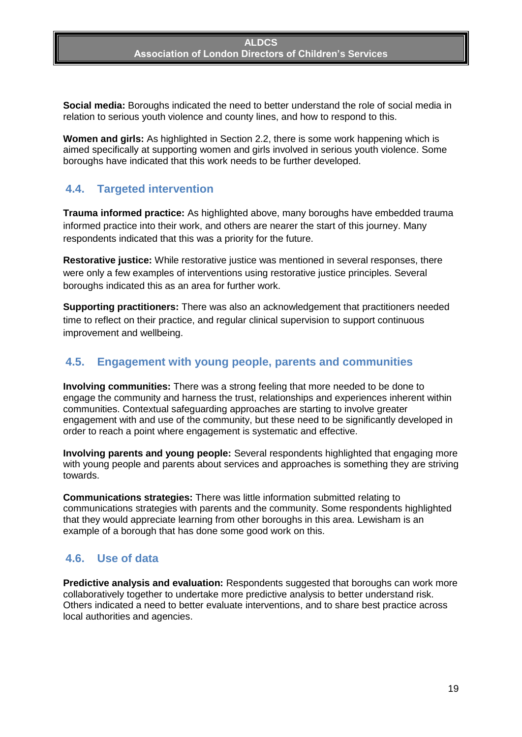**Social media:** Boroughs indicated the need to better understand the role of social media in relation to serious youth violence and county lines, and how to respond to this.

**Women and girls:** As highlighted in Section 2.2, there is some work happening which is aimed specifically at supporting women and girls involved in serious youth violence. Some boroughs have indicated that this work needs to be further developed.

### <span id="page-18-0"></span>**4.4. Targeted intervention**

**Trauma informed practice:** As highlighted above, many boroughs have embedded trauma informed practice into their work, and others are nearer the start of this journey. Many respondents indicated that this was a priority for the future.

**Restorative justice:** While restorative justice was mentioned in several responses, there were only a few examples of interventions using restorative justice principles. Several boroughs indicated this as an area for further work.

**Supporting practitioners:** There was also an acknowledgement that practitioners needed time to reflect on their practice, and regular clinical supervision to support continuous improvement and wellbeing.

### <span id="page-18-1"></span>**4.5. Engagement with young people, parents and communities**

**Involving communities:** There was a strong feeling that more needed to be done to engage the community and harness the trust, relationships and experiences inherent within communities. Contextual safeguarding approaches are starting to involve greater engagement with and use of the community, but these need to be significantly developed in order to reach a point where engagement is systematic and effective.

**Involving parents and young people:** Several respondents highlighted that engaging more with young people and parents about services and approaches is something they are striving towards.

**Communications strategies:** There was little information submitted relating to communications strategies with parents and the community. Some respondents highlighted that they would appreciate learning from other boroughs in this area. Lewisham is an example of a borough that has done some good work on this.

### <span id="page-18-2"></span>**4.6. Use of data**

**Predictive analysis and evaluation:** Respondents suggested that boroughs can work more collaboratively together to undertake more predictive analysis to better understand risk. Others indicated a need to better evaluate interventions, and to share best practice across local authorities and agencies.